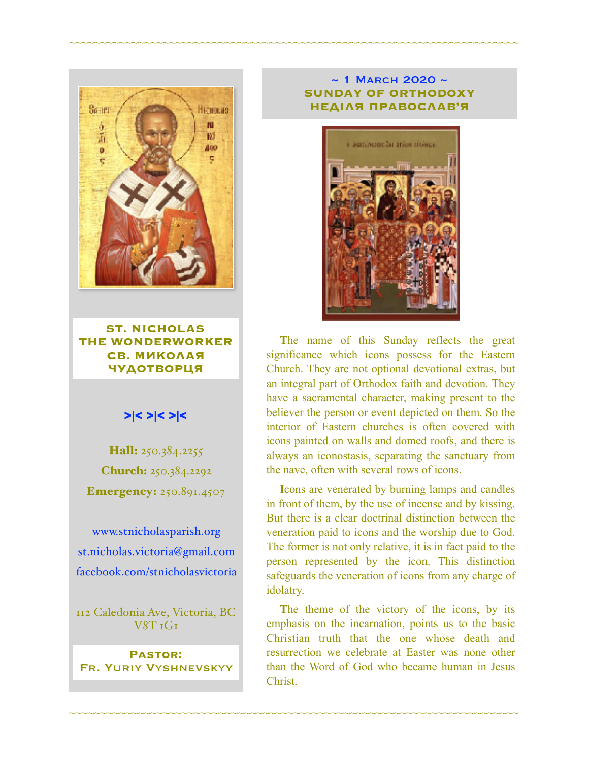

**ST. NICHOLAS THE WONDERWORKER СВ. МИКОЛАЯ ЧУДОТВОРЦЯ**

#### >|< >|< >|<

Hall: 250.384.2255 Church: 250.384.2292 **Emergency: 250.891.4507** 

[www.stnicholasparish.org](http://www.stnicholasparish.org) [st.nicholas.victoria@gmail.com](mailto:st.nicholas.victoria@gmail.com) [facebook.com/stnicholasvictoria](http://facebook.com/stnicholasvictoria)

112 Caledonia Ave, Victoria, BC V8T 1G1

**Pastor:**  Fr. Yuriy Vyshnevskyy

#### $\sim$  1 MARCH 2020  $\sim$ **SUNDAY OF ORTHODOXY НЕДІЛЯ ПРАВОСЛАВ'Я**

~~~~~~~~~~~~~~~~~~~~~~~~~~~~~~~~~~~~~~~~~~~~~~~~~~~~~~~~~~~~~~~~~~~~~~~~



**T**he name of this Sunday reflects the great significance which icons possess for the Eastern Church. They are not optional devotional extras, but an integral part of Orthodox faith and devotion. They have a sacramental character, making present to the believer the person or event depicted on them. So the interior of Eastern churches is often covered with icons painted on walls and domed roofs, and there is always an iconostasis, separating the sanctuary from the nave, often with several rows of icons.

**I**cons are venerated by burning lamps and candles in front of them, by the use of incense and by kissing. But there is a clear doctrinal distinction between the veneration paid to icons and the worship due to God. The former is not only relative, it is in fact paid to the person represented by the icon. This distinction safeguards the veneration of icons from any charge of idolatry.

**T**he theme of the victory of the icons, by its emphasis on the incarnation, points us to the basic Christian truth that the one whose death and resurrection we celebrate at Easter was none other than the Word of God who became human in Jesus Christ.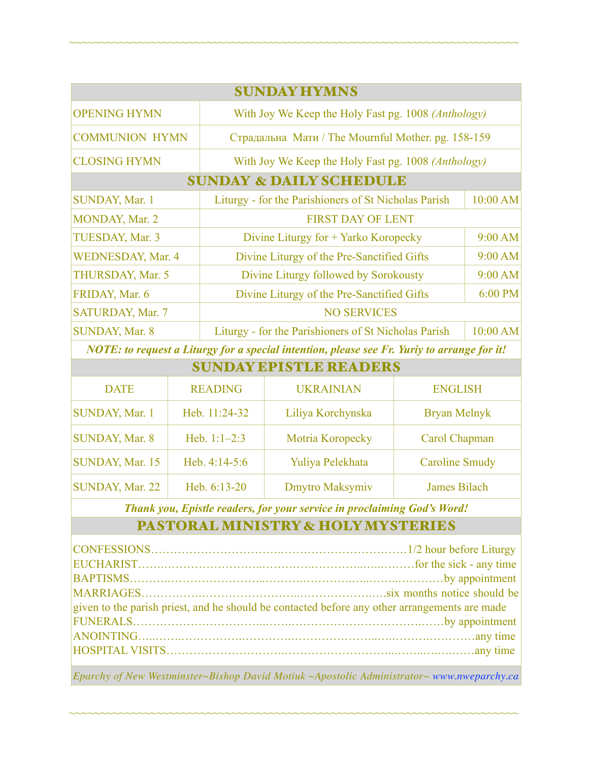| <b>SUNDAY HYMNS</b>                |                                                       |           |  |  |  |
|------------------------------------|-------------------------------------------------------|-----------|--|--|--|
| <b>OPENING HYMN</b>                | With Joy We Keep the Holy Fast pg. 1008 (Anthology)   |           |  |  |  |
| <b>COMMUNION HYMN</b>              | Страдальна Мати / The Mournful Mother. pg. 158-159    |           |  |  |  |
| <b>CLOSING HYMN</b>                | With Joy We Keep the Holy Fast pg. 1008 (Anthology)   |           |  |  |  |
| <b>SUNDAY &amp; DAILY SCHEDULE</b> |                                                       |           |  |  |  |
| SUNDAY, Mar. 1                     | Liturgy - for the Parishioners of St Nicholas Parish  | 10:00 AM  |  |  |  |
| MONDAY, Mar. 2                     | <b>FIRST DAY OF LENT</b>                              |           |  |  |  |
| TUESDAY, Mar. 3                    | Divine Liturgy for + Yarko Koropecky                  | 9:00 AM   |  |  |  |
| <b>WEDNESDAY, Mar. 4</b>           | Divine Liturgy of the Pre-Sanctified Gifts            | $9:00$ AM |  |  |  |
| THURSDAY, Mar. 5                   | Divine Liturgy followed by Sorokousty                 | $9:00$ AM |  |  |  |
| FRIDAY, Mar. 6                     | Divine Liturgy of the Pre-Sanctified Gifts<br>6:00 PM |           |  |  |  |
| SATURDAY, Mar. 7                   | <b>NO SERVICES</b>                                    |           |  |  |  |
| SUNDAY, Mar. 8                     | Liturgy - for the Parishioners of St Nicholas Parish  | 10:00 AM  |  |  |  |

~~~~~~~~~~~~~~~~~~~~~~~~~~~~~~~~~~~~~~~~~~~~~~~~~~~~~~~~~~~~~~~~~~~~~~~~

*NOTE: to request a Liturgy for a special intention, please see Fr. Yuriy to arrange for it!*

| <b>SUNDAY EPISTLE READERS</b> |                 |                   |                       |  |  |
|-------------------------------|-----------------|-------------------|-----------------------|--|--|
| <b>DATE</b>                   | <b>READING</b>  | <b>UKRAINIAN</b>  | <b>ENGLISH</b>        |  |  |
| <b>SUNDAY, Mar. 1</b>         | Heb. 11:24-32   | Liliya Korchynska | Bryan Melnyk          |  |  |
| <b>SUNDAY, Mar. 8</b>         | Heb. $1:1-2:3$  | Motria Koropecky  | Carol Chapman         |  |  |
| SUNDAY, Mar. 15               | Heb. $4:14-5:6$ | Yuliya Pelekhata  | <b>Caroline Smudy</b> |  |  |
| <b>SUNDAY, Mar. 22</b>        | Heb. 6:13-20    | Dmytro Maksymiv   | James Bilach          |  |  |

*Thank you, Epistle readers, for your service in proclaiming God's Word!*

## PASTORAL MINISTRY & HOLY MYSTERIES

| given to the parish priest, and he should be contacted before any other arrangements are made |  |  |  |
|-----------------------------------------------------------------------------------------------|--|--|--|
|                                                                                               |  |  |  |
|                                                                                               |  |  |  |
|                                                                                               |  |  |  |
|                                                                                               |  |  |  |

*Eparchy of New Westminster~Bishop David Motiuk ~Apostolic Administrator~ [www.nweparchy.ca](http://www.nweparchy.ca)*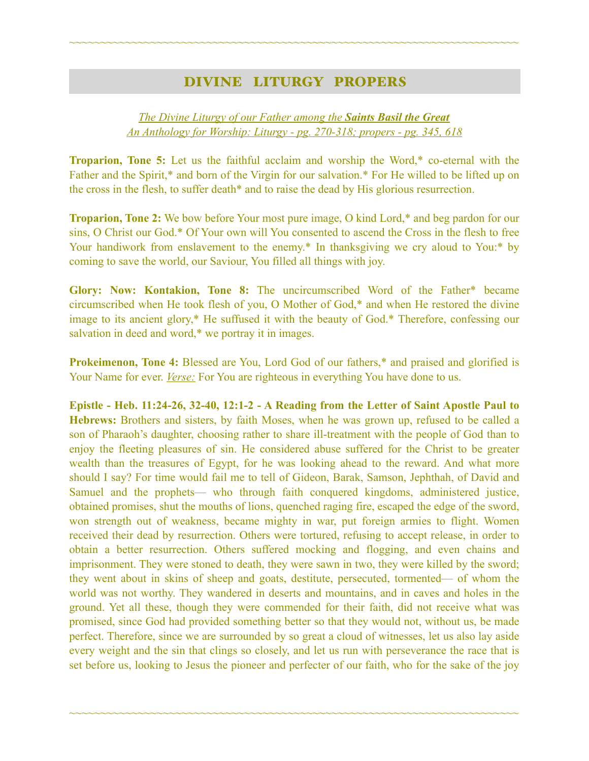## DIVINE LITURGY PROPERS

~~~~~~~~~~~~~~~~~~~~~~~~~~~~~~~~~~~~~~~~~~~~~~~~~~~~~~~~~~~~~~~~~~~~~~~~

#### *The Divine Liturgy of our Father among the Saints Basil the Great An Anthology for Worship: Liturgy - pg. 270-318; propers - pg. 345, 618*

**Troparion, Tone 5:** Let us the faithful acclaim and worship the Word,\* co-eternal with the Father and the Spirit,\* and born of the Virgin for our salvation.\* For He willed to be lifted up on the cross in the flesh, to suffer death\* and to raise the dead by His glorious resurrection.

**Troparion, Tone 2:** We bow before Your most pure image, O kind Lord,\* and beg pardon for our sins, O Christ our God.\* Of Your own will You consented to ascend the Cross in the flesh to free Your handiwork from enslavement to the enemy.<sup>\*</sup> In thanksgiving we cry aloud to You:<sup>\*</sup> by coming to save the world, our Saviour, You filled all things with joy.

**Glory: Now: Kontakion, Tone 8:** The uncircumscribed Word of the Father\* became circumscribed when He took flesh of you, O Mother of God,\* and when He restored the divine image to its ancient glory,\* He suffused it with the beauty of God.\* Therefore, confessing our salvation in deed and word,\* we portray it in images.

**Prokeimenon, Tone 4:** Blessed are You, Lord God of our fathers,\* and praised and glorified is Your Name for ever. *Verse:* For You are righteous in everything You have done to us.

**Epistle - Heb. 11:24-26, 32-40, 12:1-2 - A Reading from the Letter of Saint Apostle Paul to Hebrews:** Brothers and sisters, by faith Moses, when he was grown up, refused to be called a son of Pharaoh's daughter, choosing rather to share ill-treatment with the people of God than to enjoy the fleeting pleasures of sin. He considered abuse suffered for the Christ to be greater wealth than the treasures of Egypt, for he was looking ahead to the reward. And what more should I say? For time would fail me to tell of Gideon, Barak, Samson, Jephthah, of David and Samuel and the prophets— who through faith conquered kingdoms, administered justice, obtained promises, shut the mouths of lions, quenched raging fire, escaped the edge of the sword, won strength out of weakness, became mighty in war, put foreign armies to flight. Women received their dead by resurrection. Others were tortured, refusing to accept release, in order to obtain a better resurrection. Others suffered mocking and flogging, and even chains and imprisonment. They were stoned to death, they were sawn in two, they were killed by the sword; they went about in skins of sheep and goats, destitute, persecuted, tormented— of whom the world was not worthy. They wandered in deserts and mountains, and in caves and holes in the ground. Yet all these, though they were commended for their faith, did not receive what was promised, since God had provided something better so that they would not, without us, be made perfect. Therefore, since we are surrounded by so great a cloud of witnesses, let us also lay aside every weight and the sin that clings so closely, and let us run with perseverance the race that is set before us, looking to Jesus the pioneer and perfecter of our faith, who for the sake of the joy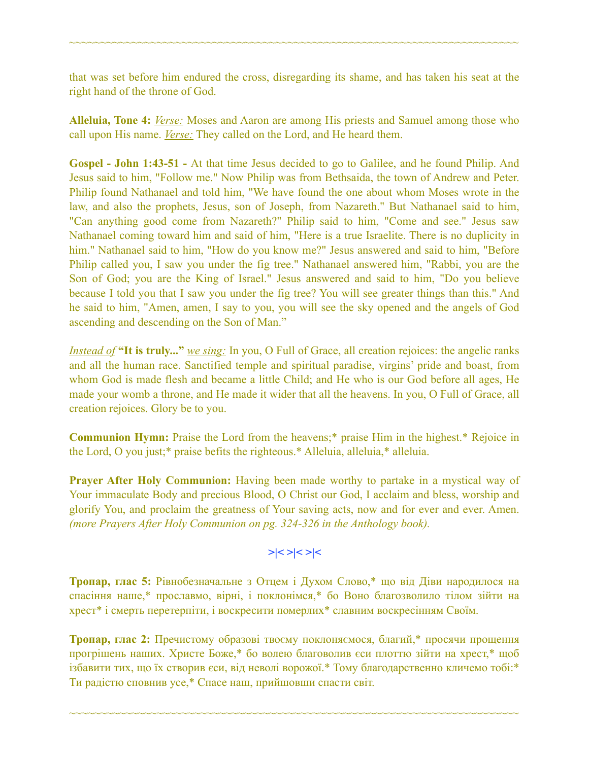that was set before him endured the cross, disregarding its shame, and has taken his seat at the right hand of the throne of God.

~~~~~~~~~~~~~~~~~~~~~~~~~~~~~~~~~~~~~~~~~~~~~~~~~~~~~~~~~~~~~~~~~~~~~~~~

**Alleluia, Tone 4:** *Verse:* Moses and Aaron are among His priests and Samuel among those who call upon His name. *Verse:* They called on the Lord, and He heard them.

**Gospel - John 1:43-51 -** At that time Jesus decided to go to Galilee, and he found Philip. And Jesus said to him, "Follow me." Now Philip was from Bethsaida, the town of Andrew and Peter. Philip found Nathanael and told him, "We have found the one about whom Moses wrote in the law, and also the prophets, Jesus, son of Joseph, from Nazareth." But Nathanael said to him, "Can anything good come from Nazareth?" Philip said to him, "Come and see." Jesus saw Nathanael coming toward him and said of him, "Here is a true Israelite. There is no duplicity in him." Nathanael said to him, "How do you know me?" Jesus answered and said to him, "Before Philip called you, I saw you under the fig tree." Nathanael answered him, "Rabbi, you are the Son of God; you are the King of Israel." Jesus answered and said to him, "Do you believe because I told you that I saw you under the fig tree? You will see greater things than this." And he said to him, "Amen, amen, I say to you, you will see the sky opened and the angels of God ascending and descending on the Son of Man."

*Instead of* **"It is truly..."** *we sing:* In you, O Full of Grace, all creation rejoices: the angelic ranks and all the human race. Sanctified temple and spiritual paradise, virgins' pride and boast, from whom God is made flesh and became a little Child; and He who is our God before all ages, He made your womb a throne, and He made it wider that all the heavens. In you, O Full of Grace, all creation rejoices. Glory be to you.

**Communion Hymn:** Praise the Lord from the heavens;\* praise Him in the highest.\* Rejoice in the Lord, O you just;\* praise befits the righteous.\* Alleluia, alleluia,\* alleluia.

**Prayer After Holy Communion:** Having been made worthy to partake in a mystical way of Your immaculate Body and precious Blood, O Christ our God, I acclaim and bless, worship and glorify You, and proclaim the greatness of Your saving acts, now and for ever and ever. Amen. *(more Prayers After Holy Communion on pg. 324-326 in the Anthology book).* 

# **>|< >|< >|<**

**Тропар, глас 5:** Рівнобезначальне з Отцем і Духом Слово,\* що від Діви народилося на спасіння наше,\* прославмо, вірні, і поклонімся,\* бо Воно благозволило тілом зійти на хрест\* і смерть перетерпіти, і воскресити померлих\* славним воскресінням Своїм.

**Тропар, глас 2:** Пречистому образові твоєму поклоняємося, благий,\* просячи прощення прогрішень наших. Христе Боже,\* бо волею благоволив єси плоттю зійти на хрест,\* щоб ізбавити тих, що їх створив єси, від неволі ворожої.\* Тому благодарственно кличемо тобі:\* Ти радістю сповнив усе,\* Спасе наш, прийшовши спасти світ.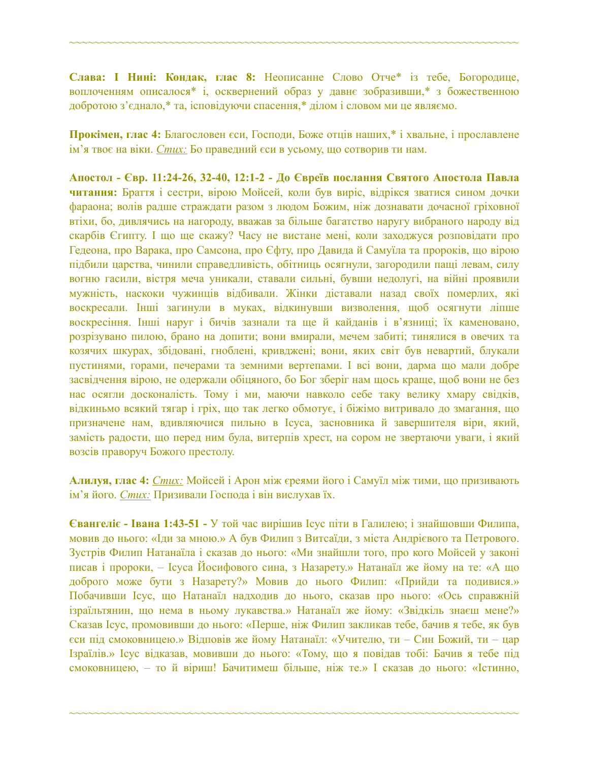**Слава: І Нині: Кондак, глас 8:** Неописанне Слово Отче\* із тебе, Богородице, воплоченням описалося\* і, осквернений образ у давнє зобразивши,\* з божественною добротою з'єднало,\* та, ісповідуючи спасення,\* ділом і словом ми це являємо.

~~~~~~~~~~~~~~~~~~~~~~~~~~~~~~~~~~~~~~~~~~~~~~~~~~~~~~~~~~~~~~~~~~~~~~~~

**Прокімен, глас 4:** Благословен єси, Господи, Боже отців наших,\* і хвальне, і прославлене ім'я твоє на віки. *Стих:* Бо праведний єси в усьому, що сотворив ти нам.

**Апостол - Євр. 11:24-26, 32-40, 12:1-2 - До Євреїв послання Святого Апостола Павла читання:** Браття і сестри, вірою Мойсей, коли був виріс, відрікся зватися сином дочки фараона; волів радше страждати разом з людом Божим, ніж дознавати дочасної гріховної втіхи, бо, дивлячись на нагороду, вважав за більше багатство наругу вибраного народу від скарбів Єгипту. І що ще скажу? Часу не вистане мені, коли заходжуся розповідати про Гедеона, про Варака, про Самсона, про Єфту, про Давида й Самуїла та пророків, що вірою підбили царства, чинили справедливість, обітниць осягнули, загородили пащі левам, силу вогню гасили, вістря меча уникали, ставали сильні, бувши недолугі, на війні проявили мужність, наскоки чужинців відбивали. Жінки діставали назад своїх померлих, які воскресали. Інші загинули в муках, відкинувши визволення, щоб осягнути ліпше воскресіння. Інші наруг і бичів зазнали та ще й кайданів і в'язниці; їх каменовано, розрізувано пилою, брано на допити; вони вмирали, мечем забиті; тинялися в овечих та козячих шкурах, збідовані, гноблені, кривджені; вони, яких світ був невартий, блукали пустинями, горами, печерами та земними вертепами. І всі вони, дарма що мали добре засвідчення вірою, не одержали обіцяного, бо Бог зберіг нам щось краще, щоб вони не без нас осягли досконалість. Тому і ми, маючи навколо себе таку велику хмару свідків, відкиньмо всякий тягар і гріх, що так легко обмотує, і біжімо витривало до змагання, що призначене нам, вдивляючися пильно в Ісуса, засновника й завершителя віри, який, замість радости, що перед ним була, витерпів хрест, на сором не звертаючи уваги, і який возсів праворуч Божого престолу.

**Алилуя, глас 4:** *Стих:* Мойсей і Арон між єреями його і Самуїл між тими, що призивають ім'я його. *Стих:* Призивали Господа і він вислухав їх.

**Євангеліє - Івана 1:43-51 -** У той час вирішив Ісус піти в Галилею; і знайшовши Филипа, мовив до нього: «Іди за мною.» А був Филип з Витсаїди, з міста Андрієвого та Петрового. Зустрів Филип Натанаїла і сказав до нього: «Ми знайшли того, про кого Мойсей у законі писав і пророки, – Ісуса Йосифового сина, з Назарету.» Натанаїл же йому на те: «А що доброго може бути з Назарету?» Мовив до нього Филип: «Прийди та подивися.» Побачивши Ісус, що Натанаїл надходив до нього, сказав про нього: «Ось справжній ізраїльтянин, що нема в ньому лукавства.» Натанаїл же йому: «Звідкіль знаєш мене?» Сказав Ісус, промовивши до нього: «Перше, ніж Филип закликав тебе, бачив я тебе, як був єси під смоковницею.» Відповів же йому Натанаїл: «Учителю, ти – Син Божий, ти – цар Ізраїлів.» Ісус відказав, мовивши до нього: «Тому, що я повідав тобі: Бачив я тебе під смоковницею, – то й віриш! Бачитимеш більше, ніж те.» І сказав до нього: «Істинно,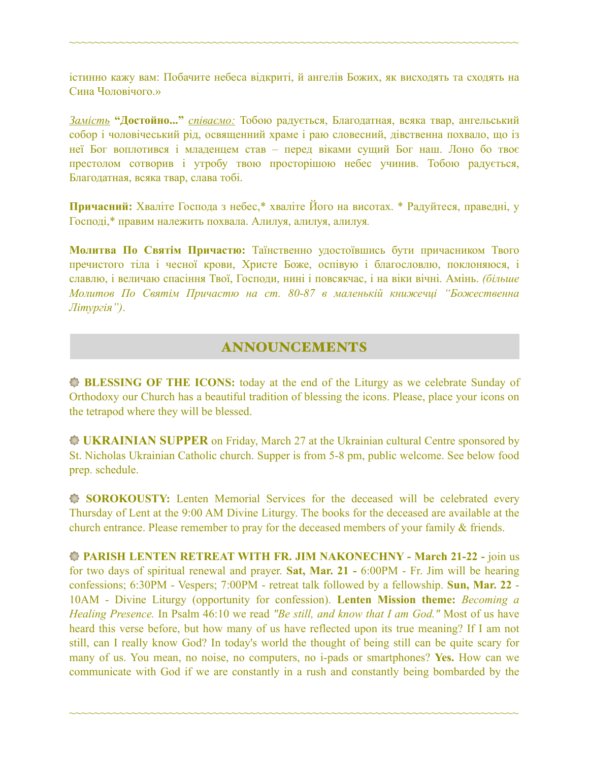істинно кажу вам: Побачите небеса відкриті, й ангелів Божих, як висходять та сходять на Сина Чоловічого.»

~~~~~~~~~~~~~~~~~~~~~~~~~~~~~~~~~~~~~~~~~~~~~~~~~~~~~~~~~~~~~~~~~~~~~~~~

*Замість* **"Достойно..."** *співаємо:* Тобою радується, Благодатная, всяка твар, ангельський собор і чоловічеський рід, освященний храме і раю словесний, дівственна похвало, що із неї Бог воплотився і младенцем став – перед віками сущий Бог наш. Лоно бо твоє престолом сотворив і утробу твою просторішою небес учинив. Тобою радується, Благодатная, всяка твар, слава тобі.

**Причасний:** Хваліте Господа з небес,\* хваліте Його на висотах. \* Радуйтеся, праведні, у Господі,\* правим належить похвала. Алилуя, алилуя, алилуя*.*

**Молитва По Святім Причастю:** Таїнственно удостоївшись бути причасником Твого пречистого тіла і чесної крови, Христе Боже, оспівую і благословлю, поклоняюся, і славлю, і величаю спасіння Твої, Господи, нині і повсякчас, і на віки вічні. Амінь. *(більше Молитов По Святім Причастю на ст. 80-87 в маленькій книжечці "Божественна Літургія")*.

# ANNOUNCEMENTS

**BLESSING OF THE ICONS:** today at the end of the Liturgy as we celebrate Sunday of Orthodoxy our Church has a beautiful tradition of blessing the icons. Please, place your icons on the tetrapod where they will be blessed.

**UKRAINIAN SUPPER** on Friday, March 27 at the Ukrainian cultural Centre sponsored by St. Nicholas Ukrainian Catholic church. Supper is from 5-8 pm, public welcome. See below food prep. schedule.

**SOROKOUSTY:** Lenten Memorial Services for the deceased will be celebrated every Thursday of Lent at the 9:00 AM Divine Liturgy. The books for the deceased are available at the church entrance. Please remember to pray for the deceased members of your family & friends.

**PARISH LENTEN RETREAT WITH FR. JIM NAKONECHNY - March 21-22 -** join us for two days of spiritual renewal and prayer. **Sat, Mar. 21 -** 6:00PM - Fr. Jim will be hearing confessions; 6:30PM - Vespers; 7:00PM - retreat talk followed by a fellowship. **Sun, Mar. 22** - 10AM - Divine Liturgy (opportunity for confession). **Lenten Mission theme:** *Becoming a Healing Presence.* In Psalm 46:10 we read *"Be still, and know that I am God."* Most of us have heard this verse before, but how many of us have reflected upon its true meaning? If I am not still, can I really know God? In today's world the thought of being still can be quite scary for many of us. You mean, no noise, no computers, no i-pads or smartphones? **Yes.** How can we communicate with God if we are constantly in a rush and constantly being bombarded by the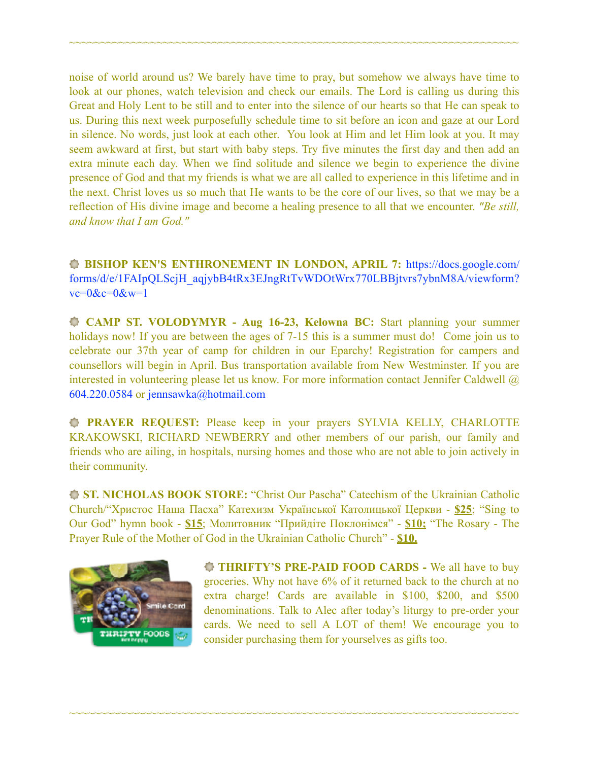noise of world around us? We barely have time to pray, but somehow we always have time to look at our phones, watch television and check our emails. The Lord is calling us during this Great and Holy Lent to be still and to enter into the silence of our hearts so that He can speak to us. During this next week purposefully schedule time to sit before an icon and gaze at our Lord in silence. No words, just look at each other. You look at Him and let Him look at you. It may seem awkward at first, but start with baby steps. Try five minutes the first day and then add an extra minute each day. When we find solitude and silence we begin to experience the divine presence of God and that my friends is what we are all called to experience in this lifetime and in the next. Christ loves us so much that He wants to be the core of our lives, so that we may be a reflection of His divine image and become a healing presence to all that we encounter. *"Be still, and know that I am God."*

~~~~~~~~~~~~~~~~~~~~~~~~~~~~~~~~~~~~~~~~~~~~~~~~~~~~~~~~~~~~~~~~~~~~~~~~

**BISHOP KEN'S ENTHRONEMENT IN LONDON, APRIL 7:** [https://docs.google.com/](https://docs.google.com/forms/d/e/1FAIpQLScjH_aqjybB4tRx3EJngRtTvWDOtWrx770LBBjtvrs7ybnM8A/viewform?vc=0&c=0&w=1) [forms/d/e/1FAIpQLScjH\\_aqjybB4tRx3EJngRtTvWDOtWrx770LBBjtvrs7ybnM8A/viewform?](https://docs.google.com/forms/d/e/1FAIpQLScjH_aqjybB4tRx3EJngRtTvWDOtWrx770LBBjtvrs7ybnM8A/viewform?vc=0&c=0&w=1)  $vc=0$ & $c=0$ & $w=1$ 

 **CAMP ST. VOLODYMYR - Aug 16-23, Kelowna BC:** Start planning your summer holidays now! If you are between the ages of 7-15 this is a summer must do! Come join us to celebrate our 37th year of camp for children in our Eparchy! Registration for campers and counsellors will begin in April. Bus transportation available from New Westminster. If you are interested in volunteering please let us know. For more information contact Jennifer Caldwell @ 604.220.0584 or [jennsawka@hotmail.com](mailto:jennsawka@hotmail.com)

**PRAYER REQUEST:** Please keep in your prayers SYLVIA KELLY, CHARLOTTE KRAKOWSKI, RICHARD NEWBERRY and other members of our parish, our family and friends who are ailing, in hospitals, nursing homes and those who are not able to join actively in their community.

**ST. NICHOLAS BOOK STORE:** "Christ Our Pascha" Catechism of the Ukrainian Catholic Church/"Христос Наша Пасха" Катехизм Української Католицької Церкви - **\$25**; "Sing to Our God" hymn book - **\$15**; Молитовник "Прийдіте Поклонімся" - **\$10;** "The Rosary - The Prayer Rule of the Mother of God in the Ukrainian Catholic Church" - **\$10.** 

~~~~~~~~~~~~~~~~~~~~~~~~~~~~~~~~~~~~~~~~~~~~~~~~~~~~~~~~~~~~~~~~~~~~~~~~



**THRIFTY'S PRE-PAID FOOD CARDS -** We all have to buy groceries. Why not have 6% of it returned back to the church at no extra charge! Cards are available in \$100, \$200, and \$500 denominations. Talk to Alec after today's liturgy to pre-order your cards. We need to sell A LOT of them! We encourage you to consider purchasing them for yourselves as gifts too.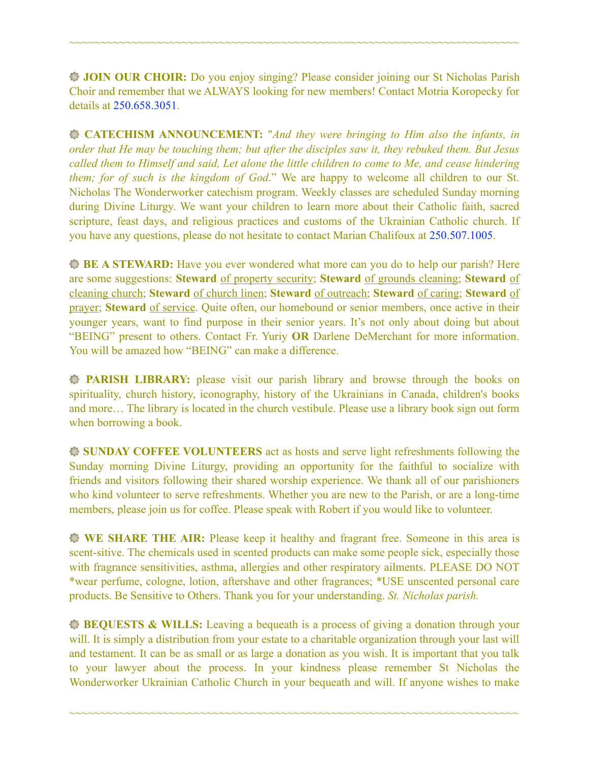**JOIN OUR CHOIR:** Do you enjoy singing? Please consider joining our St Nicholas Parish Choir and remember that we ALWAYS looking for new members! Contact Motria Koropecky for details at 250.658.3051.

~~~~~~~~~~~~~~~~~~~~~~~~~~~~~~~~~~~~~~~~~~~~~~~~~~~~~~~~~~~~~~~~~~~~~~~~

**CATECHISM ANNOUNCEMENT:** "*And they were bringing to Him also the infants, in order that He may be touching them; but after the disciples saw it, they rebuked them. But Jesus called them to Himself and said, Let alone the little children to come to Me, and cease hindering them; for of such is the kingdom of God*." We are happy to welcome all children to our St. Nicholas The Wonderworker catechism program. Weekly classes are scheduled Sunday morning during Divine Liturgy. We want your children to learn more about their Catholic faith, sacred scripture, feast days, and religious practices and customs of the Ukrainian Catholic church. If you have any questions, please do not hesitate to contact Marian Chalifoux at 250.507.1005.

**BE A STEWARD:** Have you ever wondered what more can you do to help our parish? Here are some suggestions: **Steward** of property security; **Steward** of grounds cleaning; **Steward** of cleaning church; **Steward** of church linen; **Steward** of outreach; **Steward** of caring; **Steward** of prayer; **Steward** of service. Quite often, our homebound or senior members, once active in their younger years, want to find purpose in their senior years. It's not only about doing but about "BEING" present to others. Contact Fr. Yuriy **OR** Darlene DeMerchant for more information. You will be amazed how "BEING" can make a difference.

**PARISH LIBRARY:** please visit our parish library and browse through the books on spirituality, church history, iconography, history of the Ukrainians in Canada, children's books and more… The library is located in the church vestibule. Please use a library book sign out form when borrowing a book.

**SUNDAY COFFEE VOLUNTEERS** act as hosts and serve light refreshments following the Sunday morning Divine Liturgy, providing an opportunity for the faithful to socialize with friends and visitors following their shared worship experience. We thank all of our parishioners who kind volunteer to serve refreshments. Whether you are new to the Parish, or are a long-time members, please join us for coffee. Please speak with Robert if you would like to volunteer.

**WE SHARE THE AIR:** Please keep it healthy and fragrant free. Someone in this area is scent-sitive. The chemicals used in scented products can make some people sick, especially those with fragrance sensitivities, asthma, allergies and other respiratory ailments. PLEASE DO NOT \*wear perfume, cologne, lotion, aftershave and other fragrances; \*USE unscented personal care products. Be Sensitive to Others. Thank you for your understanding. *St. Nicholas parish.* 

**BEQUESTS & WILLS:** Leaving a bequeath is a process of giving a donation through your will. It is simply a distribution from your estate to a charitable organization through your last will and testament. It can be as small or as large a donation as you wish. It is important that you talk to your lawyer about the process. In your kindness please remember St Nicholas the Wonderworker Ukrainian Catholic Church in your bequeath and will. If anyone wishes to make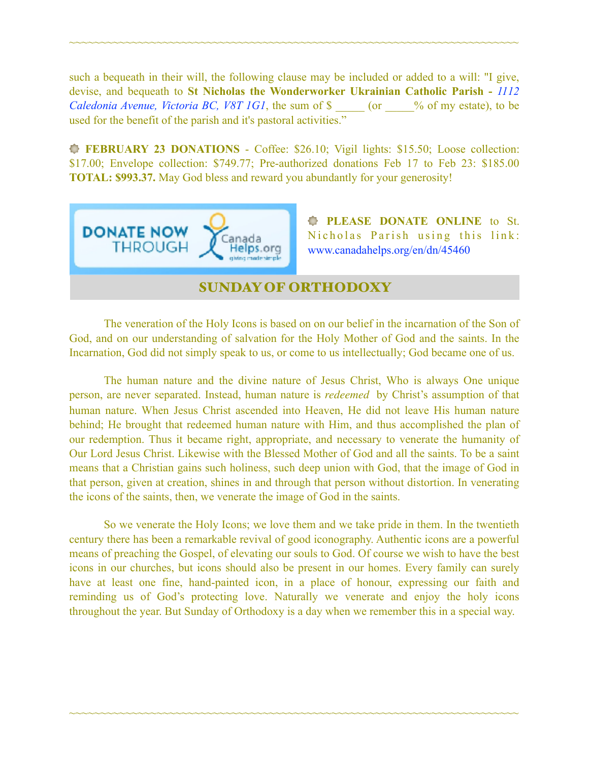such a bequeath in their will, the following clause may be included or added to a will: "I give, devise, and bequeath to **St Nicholas the Wonderworker Ukrainian Catholic Parish -** *1112 Caledonia Avenue, Victoria BC, V8T 1G1*, the sum of \$  $\degree$  (or  $\degree$  % of my estate), to be used for the benefit of the parish and it's pastoral activities."

~~~~~~~~~~~~~~~~~~~~~~~~~~~~~~~~~~~~~~~~~~~~~~~~~~~~~~~~~~~~~~~~~~~~~~~~

**FEBRUARY 23 DONATIONS** - Coffee: \$26.10; Vigil lights: \$15.50; Loose collection: \$17.00; Envelope collection: \$749.77; Pre-authorized donations Feb 17 to Feb 23: \$185.00 **TOTAL: \$993.37.** May God bless and reward you abundantly for your generosity!



**PLEASE DONATE ONLINE** to St. Nicholas Parish using this link: [www.canadahelps.org/en/dn/45460](http://www.canadahelps.org/en/dn/45460) 

#### SUNDAY OF ORTHODOXY

 The veneration of the Holy Icons is based on on our belief in the incarnation of the Son of God, and on our understanding of salvation for the Holy Mother of God and the saints. In the Incarnation, God did not simply speak to us, or come to us intellectually; God became one of us.

The human nature and the divine nature of Jesus Christ, Who is always One unique person, are never separated. Instead, human nature is *redeemed* by Christ's assumption of that human nature. When Jesus Christ ascended into Heaven, He did not leave His human nature behind; He brought that redeemed human nature with Him, and thus accomplished the plan of our redemption. Thus it became right, appropriate, and necessary to venerate the humanity of Our Lord Jesus Christ. Likewise with the Blessed Mother of God and all the saints. To be a saint means that a Christian gains such holiness, such deep union with God, that the image of God in that person, given at creation, shines in and through that person without distortion. In venerating the icons of the saints, then, we venerate the image of God in the saints.

So we venerate the Holy Icons; we love them and we take pride in them. In the twentieth century there has been a remarkable revival of good iconography. Authentic icons are a powerful means of preaching the Gospel, of elevating our souls to God. Of course we wish to have the best icons in our churches, but icons should also be present in our homes. Every family can surely have at least one fine, hand-painted icon, in a place of honour, expressing our faith and reminding us of God's protecting love. Naturally we venerate and enjoy the holy icons throughout the year. But Sunday of Orthodoxy is a day when we remember this in a special way.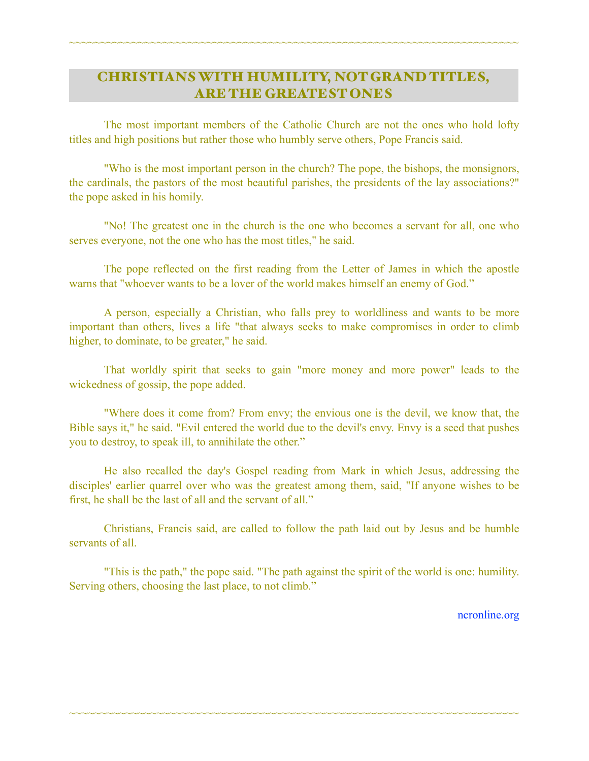# CHRISTIANS WITH HUMILITY, NOT GRAND TITLES, ARE THE GREATEST ONES

~~~~~~~~~~~~~~~~~~~~~~~~~~~~~~~~~~~~~~~~~~~~~~~~~~~~~~~~~~~~~~~~~~~~~~~~

 The most important members of the Catholic Church are not the ones who hold lofty titles and high positions but rather those who humbly serve others, Pope Francis said.

 "Who is the most important person in the church? The pope, the bishops, the monsignors, the cardinals, the pastors of the most beautiful parishes, the presidents of the lay associations?" the pope asked in his homily.

 "No! The greatest one in the church is the one who becomes a servant for all, one who serves everyone, not the one who has the most titles," he said.

 The pope reflected on the first reading from the Letter of James in which the apostle warns that "whoever wants to be a lover of the world makes himself an enemy of God."

 A person, especially a Christian, who falls prey to worldliness and wants to be more important than others, lives a life "that always seeks to make compromises in order to climb higher, to dominate, to be greater," he said.

 That worldly spirit that seeks to gain "more money and more power" leads to the wickedness of gossip, the pope added.

 "Where does it come from? From envy; the envious one is the devil, we know that, the Bible says it," he said. "Evil entered the world due to the devil's envy. Envy is a seed that pushes you to destroy, to speak ill, to annihilate the other."

 He also recalled the day's Gospel reading from Mark in which Jesus, addressing the disciples' earlier quarrel over who was the greatest among them, said, "If anyone wishes to be first, he shall be the last of all and the servant of all."

 Christians, Francis said, are called to follow the path laid out by Jesus and be humble servants of all.

 "This is the path," the pope said. "The path against the spirit of the world is one: humility. Serving others, choosing the last place, to not climb."

~~~~~~~~~~~~~~~~~~~~~~~~~~~~~~~~~~~~~~~~~~~~~~~~~~~~~~~~~~~~~~~~~~~~~~~~

[ncronline.org](http://ncronline.org)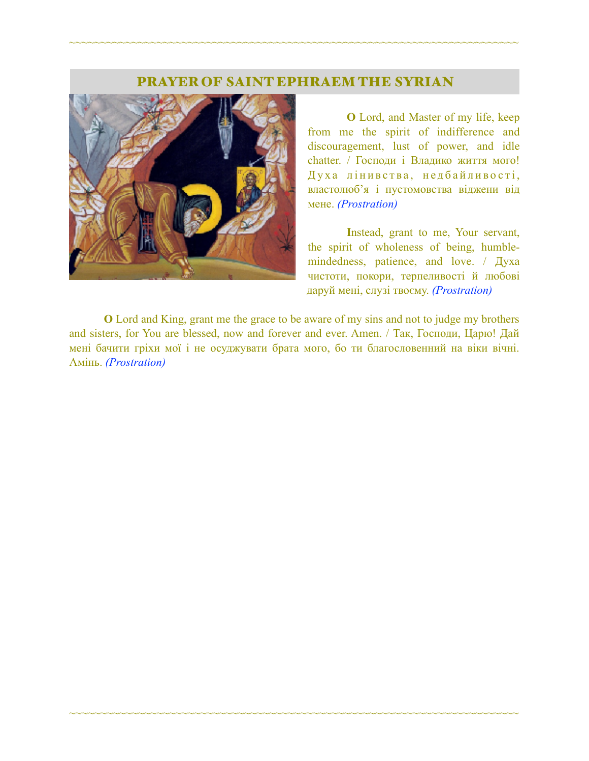#### PRAYER OF SAINT EPHRAEM THE SYRIAN

~~~~~~~~~~~~~~~~~~~~~~~~~~~~~~~~~~~~~~~~~~~~~~~~~~~~~~~~~~~~~~~~~~~~~~~~



 **O** Lord, and Master of my life, keep from me the spirit of indifference and discouragement, lust of power, and idle chatter. / Господи і Владико життя мого! Духа лінивства, недбайливості, властолюб'я і пустомовства віджени від мене. *(Prostration)* 

**I**nstead, grant to me, Your servant, the spirit of wholeness of being, humblemindedness, patience, and love. / Духа чистоти, покори, терпеливості й любові даруй мені, слузі твоєму. *(Prostration)* 

**O** Lord and King, grant me the grace to be aware of my sins and not to judge my brothers and sisters, for You are blessed, now and forever and ever. Amen. / Так, Господи, Царю! Дай мені бачити гріхи мої і не осуджувати брата мого, бо ти благословенний на віки вічні. Амінь. *(Prostration)*